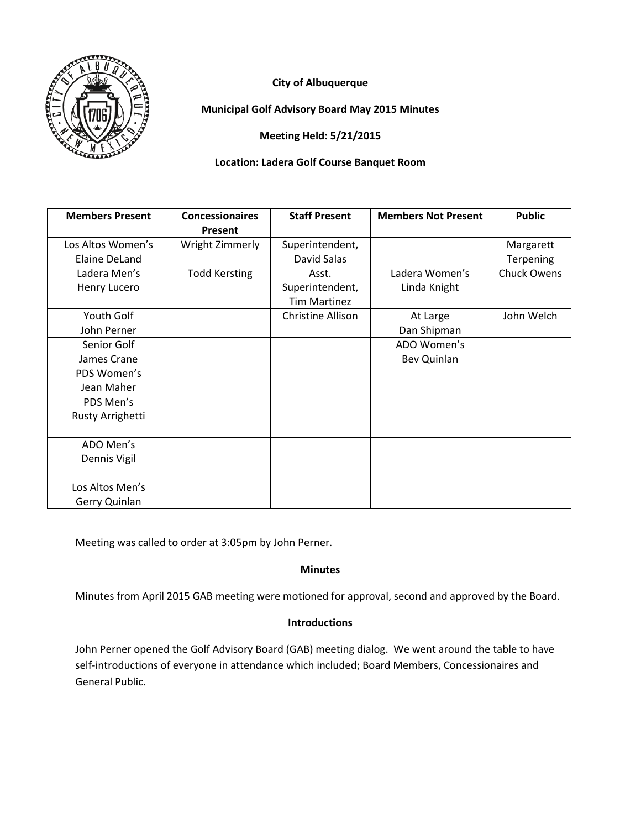

# **City of Albuquerque**

**Municipal Golf Advisory Board May 2015 Minutes**

**Meeting Held: 5/21/2015**

## **Location: Ladera Golf Course Banquet Room**

| <b>Members Present</b> | <b>Concessionaires</b><br>Present | <b>Staff Present</b>     | <b>Members Not Present</b> | <b>Public</b>      |
|------------------------|-----------------------------------|--------------------------|----------------------------|--------------------|
| Los Altos Women's      | Wright Zimmerly                   | Superintendent,          |                            | Margarett          |
| Elaine DeLand          |                                   | David Salas              |                            | Terpening          |
| Ladera Men's           | <b>Todd Kersting</b>              | Asst.                    | Ladera Women's             | <b>Chuck Owens</b> |
| Henry Lucero           |                                   | Superintendent,          | Linda Knight               |                    |
|                        |                                   | <b>Tim Martinez</b>      |                            |                    |
| Youth Golf             |                                   | <b>Christine Allison</b> | At Large                   | John Welch         |
| John Perner            |                                   |                          | Dan Shipman                |                    |
| Senior Golf            |                                   |                          | ADO Women's                |                    |
| James Crane            |                                   |                          | Bev Quinlan                |                    |
| PDS Women's            |                                   |                          |                            |                    |
| Jean Maher             |                                   |                          |                            |                    |
| PDS Men's              |                                   |                          |                            |                    |
| Rusty Arrighetti       |                                   |                          |                            |                    |
|                        |                                   |                          |                            |                    |
| ADO Men's              |                                   |                          |                            |                    |
| Dennis Vigil           |                                   |                          |                            |                    |
|                        |                                   |                          |                            |                    |
| Los Altos Men's        |                                   |                          |                            |                    |
| Gerry Quinlan          |                                   |                          |                            |                    |

Meeting was called to order at 3:05pm by John Perner.

## **Minutes**

Minutes from April 2015 GAB meeting were motioned for approval, second and approved by the Board.

## **Introductions**

John Perner opened the Golf Advisory Board (GAB) meeting dialog. We went around the table to have self-introductions of everyone in attendance which included; Board Members, Concessionaires and General Public.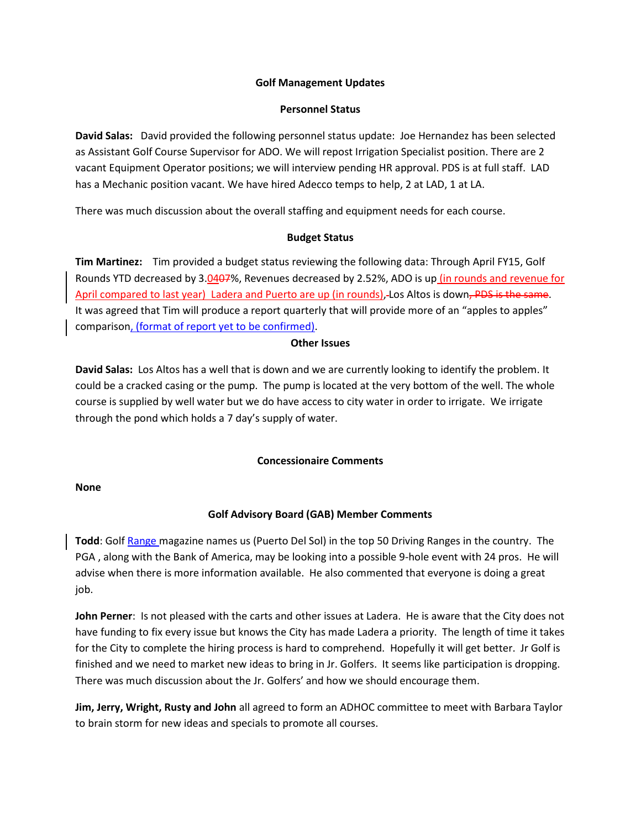#### **Golf Management Updates**

#### **Personnel Status**

**David Salas:** David provided the following personnel status update: Joe Hernandez has been selected as Assistant Golf Course Supervisor for ADO. We will repost Irrigation Specialist position. There are 2 vacant Equipment Operator positions; we will interview pending HR approval. PDS is at full staff. LAD has a Mechanic position vacant. We have hired Adecco temps to help, 2 at LAD, 1 at LA.

There was much discussion about the overall staffing and equipment needs for each course.

### **Budget Status**

**Tim Martinez:** Tim provided a budget status reviewing the following data: Through April FY15, Golf Rounds YTD decreased by 3.0407%, Revenues decreased by 2.52%, ADO is up (in rounds and revenue for April compared to last year) Ladera and Puerto are up (in rounds), Los Altos is down<del>, PDS is the same</del>. It was agreed that Tim will produce a report quarterly that will provide more of an "apples to apples" comparison, (format of report yet to be confirmed).

#### **Other Issues**

**David Salas:** Los Altos has a well that is down and we are currently looking to identify the problem. It could be a cracked casing or the pump. The pump is located at the very bottom of the well. The whole course is supplied by well water but we do have access to city water in order to irrigate. We irrigate through the pond which holds a 7 day's supply of water.

### **Concessionaire Comments**

### **None**

## **Golf Advisory Board (GAB) Member Comments**

**Todd**: Golf Range magazine names us (Puerto Del Sol) in the top 50 Driving Ranges in the country. The PGA , along with the Bank of America, may be looking into a possible 9-hole event with 24 pros. He will advise when there is more information available. He also commented that everyone is doing a great job.

**John Perner**: Is not pleased with the carts and other issues at Ladera. He is aware that the City does not have funding to fix every issue but knows the City has made Ladera a priority. The length of time it takes for the City to complete the hiring process is hard to comprehend. Hopefully it will get better. Jr Golf is finished and we need to market new ideas to bring in Jr. Golfers. It seems like participation is dropping. There was much discussion about the Jr. Golfers' and how we should encourage them.

**Jim, Jerry, Wright, Rusty and John** all agreed to form an ADHOC committee to meet with Barbara Taylor to brain storm for new ideas and specials to promote all courses.